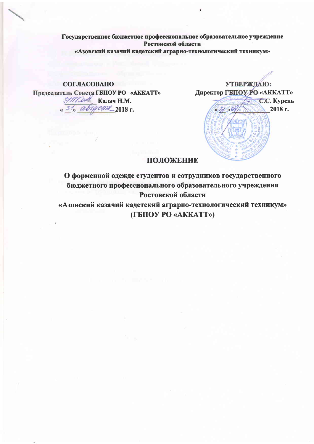Государственное бюджетное профессиональное образовательное учреждение Ростовской области «Азовский казачий кадетский аграрно-технологический техникум»

# **СОГЛАСОВАНО**

Председатель Совета ГБПОУ РО «АККАТТ» Handa Kanay H.M. «<sup>31</sup>» августе 2018 г.



### ПОЛОЖЕНИЕ

О форменной одежде студентов и сотрудников государственного бюджетного профессионального образовательного учреждения Ростовской области

«Азовский казачий кадетский аграрно-технологический техникум» (ГБПОУ РО «АККАТТ»)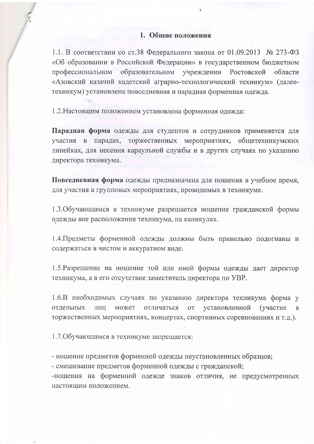## 1. Общие положения

1.1. В соответствии со ст.38 Федерального закона от 01.09.2013 № 273-ФЗ «Об образовании в Российской Федерации» в государственном бюджетном профессиональном образовательном учреждении Ростовской области «Азовский казачий кадетский аграрно-технологический техникум» (далеетехникум) установлена повседневная и парадная форменная одежда.

1.2. Настоящим положением установлена форменная одежда:

Парадная форма одежды для студентов и сотрудников применяется для участия в парадах, торжественных мероприятиях, общетехникумских линейках, для несения караульной службы и в других случаях по указанию директора техникума.

Повседневная форма одежды предназначена для ношения в учебное время, для участия в групповых мероприятиях, проводимых в техникуме.

1.3. Обучающимся в техникуме разрешается ношение гражданской формы одежды вне расположения техникума, на каникулах.

1.4. Предметы форменной одежды должны быть правильно подогнаны и содержаться в чистом и аккуратном виде.

1.5. Разрешение на ношение той или иной формы одежды дает директор техникума, а в его отсутствие заместитель директора по УВР.

1.6.В необходимых случаях по указанию директора техникума форма у отдельных ЛИЦ может отличаться **OT** установленной (участие  $\, {\bf B}$ торжественных мероприятиях, концертах, спортивных соревнованиях и т.д.).

1.7. Обучающимся в техникуме запрещается:

- ношение предметов форменной одежды неустановленных образцов;

- смешивание предметов форменной одежды с гражданской;

-ношения на форменной одежде знаков отличия, не предусмотренных настоящим положением.